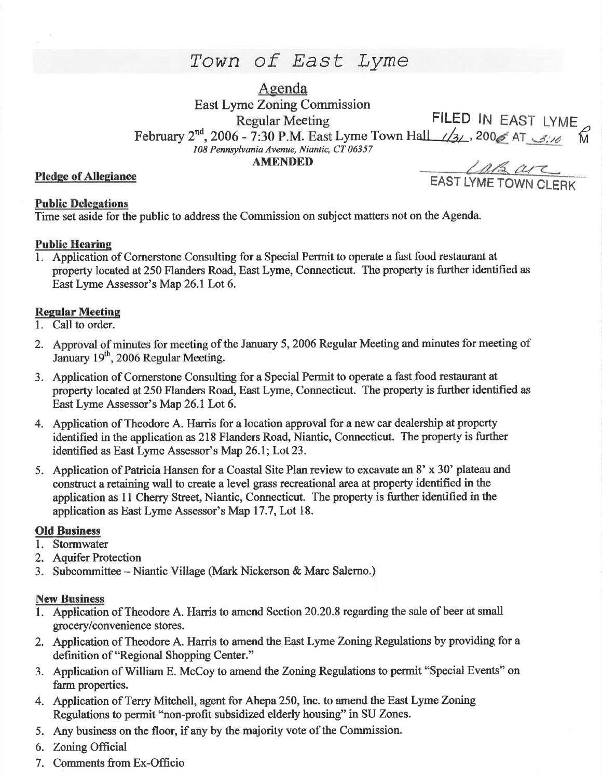# Town of East Lyme

Agenda

East Lyme Zoning Commission Regular Meeting FILED IN EAST LYME February 2<sup>nd</sup>, 2006 - 7:30 P.M. East Lyme Town Hall  $\sqrt{3}$ , 200 $\leq$  AT  $\leq$ :10 108 Pennsylvania Avenue, Niantic, CT 06357 **AMENDED** 

## **Public Delegations**

Time set aside for the public to address the Commission on subject matters not on the Agenda.

### **Public Hearing**

1. Application of Cornerstone Consulting for a Special Permit to operate a fast food restaurant at property located at 250 Flanders Road, East Lyme, Connecticut. The property is further identified as East Lyme Assessor's Map 26.1 Lot 6.

### **Regular Meeting**

- 1. Call to order.
- 2. Approval of minutes for meeting of the January 5,2006 Regular Meeting and minutes for meeting of January 19<sup>th</sup>, 2006 Regular Meeting.
- 3. Application of Comerstone Consulting for a Special Permit to operate a fast food restaurant at property located at 250 Flanders Road, East Lyme, Connecticut. The property is further identified as East Lyme Assessor's Map 26.1 Lot 6.
- 4. Application of Theodore A. Harris for a location approval for a new car dealership at property identified in the application as 218 Flanders Road, Niantic, Connecticut. The property is further identified as East Lyme Assessor's Map 26.1; Lot 23.
- 5. Application of Patricia Hansen for a Coastal Site Plan review to excavate an 8' x 30' plateau and construct a retaining wall to create a level grass recreational area at property identified in the application as 11 Cherry Street, Niantic, Connecticut. The property is further identified in the application as East Lyme Assessor's Map 17.7, Lot 18.

### Old Business

- 1. Stormwater
- 2. Aquifer Protection
- 3. Subcommittee Niantic Village (Mark Nickerson  $\&$  Marc Salerno.)

### **New Business**

- 1. Application of Theodore A. Harris to amend Section 20.20.8 regarding the sale of beer at small grocery/convenience stores.
- 2. Application of Theodore A. Harris to amend the East Lyme Zoning Regulations by providing for a definition of "Regional Shopping Center."
- 3. Application of William E. McCoy to amend the Zoning Regulations to permit "Special Events" on farm properties.
- 4. Application of Terry Mitchell, agent for Ahepa 250, Inc. to amend the East Lyme Zoning Regulations to permit "non-profit subsidized elderly housing" in SU Zones.
- 5. Any business on the floor, if any by the majority vote of the Commission.
- 6. Zoning Official
- 7. Comments from Ex-Offrcio

Pledge of Allegiance<br>Pledge of Allegiance<br>EAST LYME TOWN CLERK